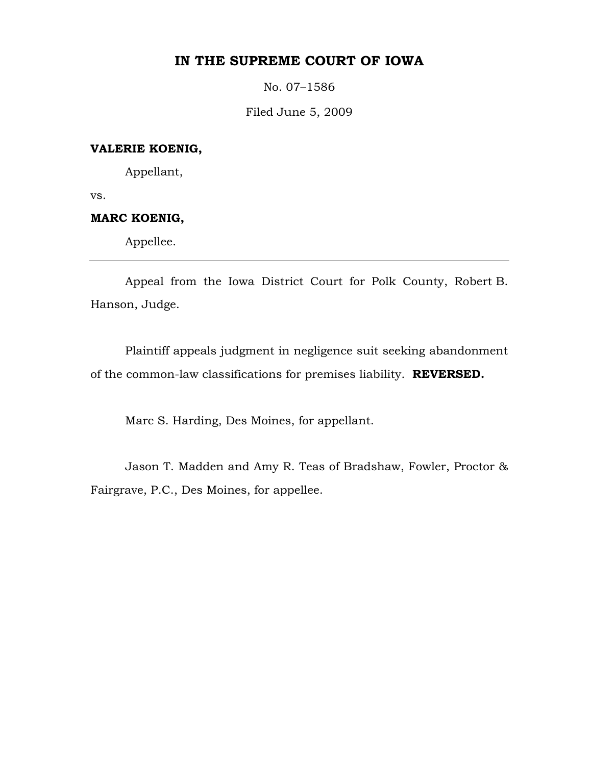# **IN THE SUPREME COURT OF IOWA**

No. 07–1586

Filed June 5, 2009

# **VALERIE KOENIG,**

Appellant,

vs.

# **MARC KOENIG,**

Appellee.

Appeal from the Iowa District Court for Polk County, Robert B. Hanson, Judge.

Plaintiff appeals judgment in negligence suit seeking abandonment of the common-law classifications for premises liability. **REVERSED.**

Marc S. Harding, Des Moines, for appellant.

Jason T. Madden and Amy R. Teas of Bradshaw, Fowler, Proctor & Fairgrave, P.C., Des Moines, for appellee.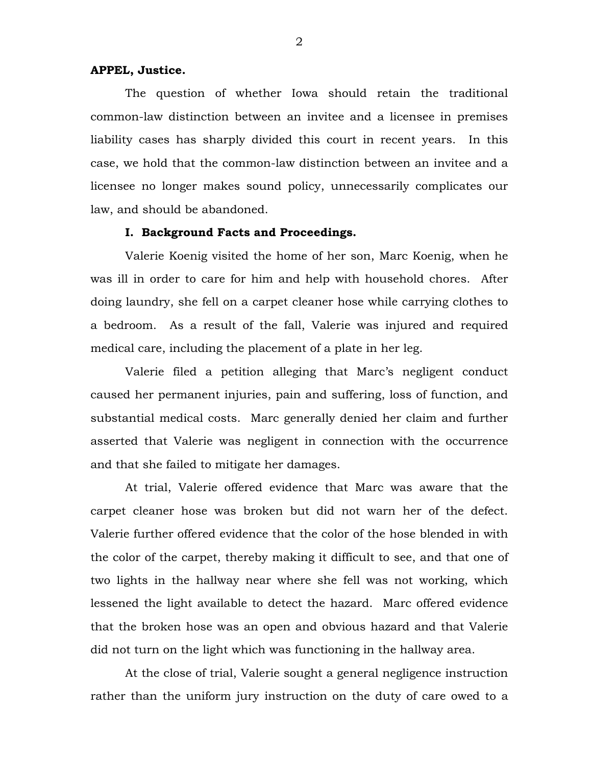# **APPEL, Justice.**

The question of whether Iowa should retain the traditional common-law distinction between an invitee and a licensee in premises liability cases has sharply divided this court in recent years. In this case, we hold that the common-law distinction between an invitee and a licensee no longer makes sound policy, unnecessarily complicates our law, and should be abandoned.

### **I. Background Facts and Proceedings.**

Valerie Koenig visited the home of her son, Marc Koenig, when he was ill in order to care for him and help with household chores. After doing laundry, she fell on a carpet cleaner hose while carrying clothes to a bedroom. As a result of the fall, Valerie was injured and required medical care, including the placement of a plate in her leg.

Valerie filed a petition alleging that Marc's negligent conduct caused her permanent injuries, pain and suffering, loss of function, and substantial medical costs. Marc generally denied her claim and further asserted that Valerie was negligent in connection with the occurrence and that she failed to mitigate her damages.

At trial, Valerie offered evidence that Marc was aware that the carpet cleaner hose was broken but did not warn her of the defect. Valerie further offered evidence that the color of the hose blended in with the color of the carpet, thereby making it difficult to see, and that one of two lights in the hallway near where she fell was not working, which lessened the light available to detect the hazard. Marc offered evidence that the broken hose was an open and obvious hazard and that Valerie did not turn on the light which was functioning in the hallway area.

At the close of trial, Valerie sought a general negligence instruction rather than the uniform jury instruction on the duty of care owed to a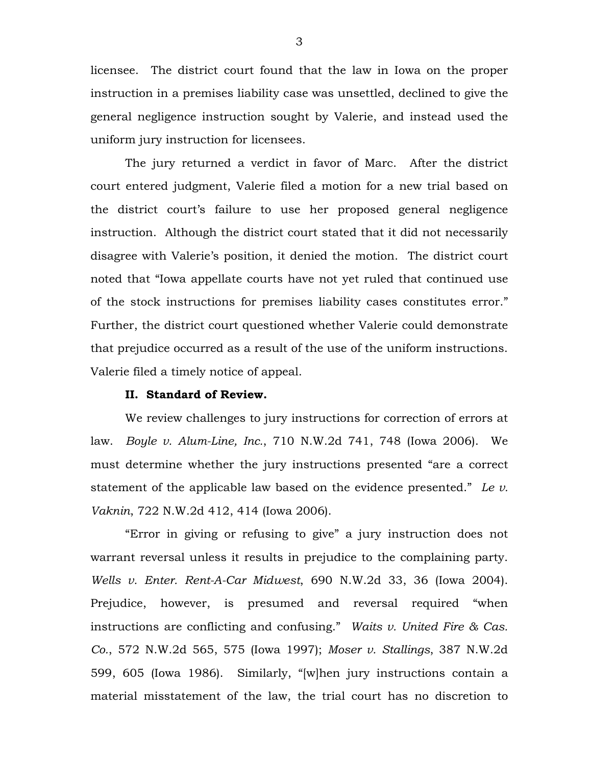licensee. The district court found that the law in Iowa on the proper instruction in a premises liability case was unsettled, declined to give the general negligence instruction sought by Valerie, and instead used the uniform jury instruction for licensees.

The jury returned a verdict in favor of Marc. After the district court entered judgment, Valerie filed a motion for a new trial based on the district court's failure to use her proposed general negligence instruction. Although the district court stated that it did not necessarily disagree with Valerie's position, it denied the motion. The district court noted that "Iowa appellate courts have not yet ruled that continued use of the stock instructions for premises liability cases constitutes error." Further, the district court questioned whether Valerie could demonstrate that prejudice occurred as a result of the use of the uniform instructions. Valerie filed a timely notice of appeal.

# **II. Standard of Review.**

We review challenges to jury instructions for correction of errors at law. *Boyle v. Alum-Line, Inc.*, 710 N.W.2d 741, 748 (Iowa 2006). We must determine whether the jury instructions presented "are a correct statement of the applicable law based on the evidence presented." *Le v. Vaknin*, 722 N.W.2d 412, 414 (Iowa 2006).

"Error in giving or refusing to give" a jury instruction does not warrant reversal unless it results in prejudice to the complaining party. *Wells v. Enter. Rent-A-Car Midwest*, 690 N.W.2d 33, 36 (Iowa 2004). Prejudice, however, is presumed and reversal required "when instructions are conflicting and confusing." *Waits v. United Fire & Cas. Co.*, 572 N.W.2d 565, 575 (Iowa 1997); *Moser v. Stallings*, 387 N.W.2d 599, 605 (Iowa 1986). Similarly, "[w]hen jury instructions contain a material misstatement of the law, the trial court has no discretion to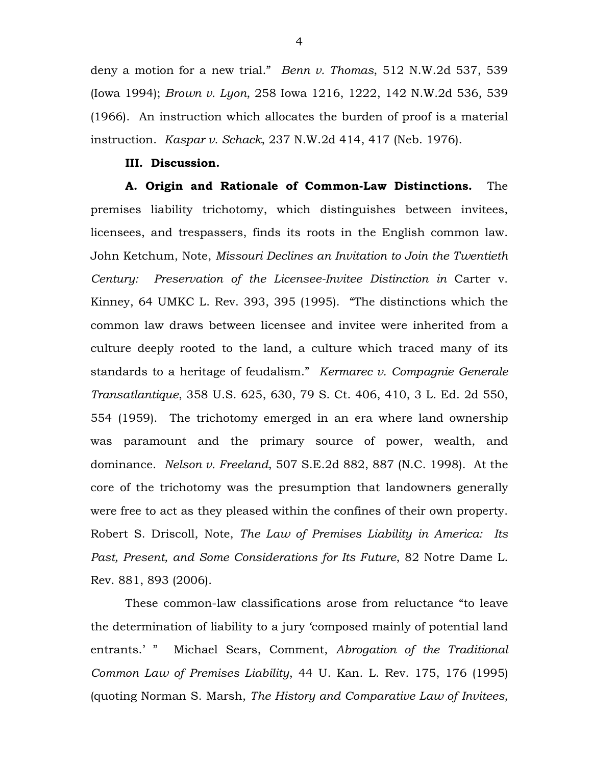deny a motion for a new trial." *Benn v. Thomas*, 512 N.W.2d 537, 539 (Iowa 1994); *Brown v. Lyon*, 258 Iowa 1216, 1222, 142 N.W.2d 536, 539 (1966). An instruction which allocates the burden of proof is a material instruction. *Kaspar v. Schack*, 237 N.W.2d 414, 417 (Neb. 1976).

#### **III. Discussion.**

**A. Origin and Rationale of Common-Law Distinctions.** The premises liability trichotomy, which distinguishes between invitees, licensees, and trespassers, finds its roots in the English common law. John Ketchum, Note, *Missouri Declines an Invitation to Join the Twentieth Century: Preservation of the Licensee-Invitee Distinction in* Carter v. Kinney, 64 UMKC L. Rev. 393, 395 (1995). "The distinctions which the common law draws between licensee and invitee were inherited from a culture deeply rooted to the land, a culture which traced many of its standards to a heritage of feudalism." *Kermarec v. Compagnie Generale Transatlantique*, 358 U.S. 625, 630, 79 S. Ct. 406, 410, 3 L. Ed. 2d 550, 554 (1959). The trichotomy emerged in an era where land ownership was paramount and the primary source of power, wealth, and dominance. *Nelson v. Freeland*, 507 S.E.2d 882, 887 (N.C. 1998). At the core of the trichotomy was the presumption that landowners generally were free to act as they pleased within the confines of their own property. Robert S. Driscoll, Note, *The Law of Premises Liability in America: Its Past, Present, and Some Considerations for Its Future*, 82 Notre Dame L. Rev. 881, 893 (2006).

These common-law classifications arose from reluctance "to leave the determination of liability to a jury 'composed mainly of potential land entrants.' " Michael Sears, Comment, *Abrogation of the Traditional Common Law of Premises Liability*, 44 U. Kan. L. Rev. 175, 176 (1995) (quoting Norman S. Marsh, *The History and Comparative Law of Invitees,*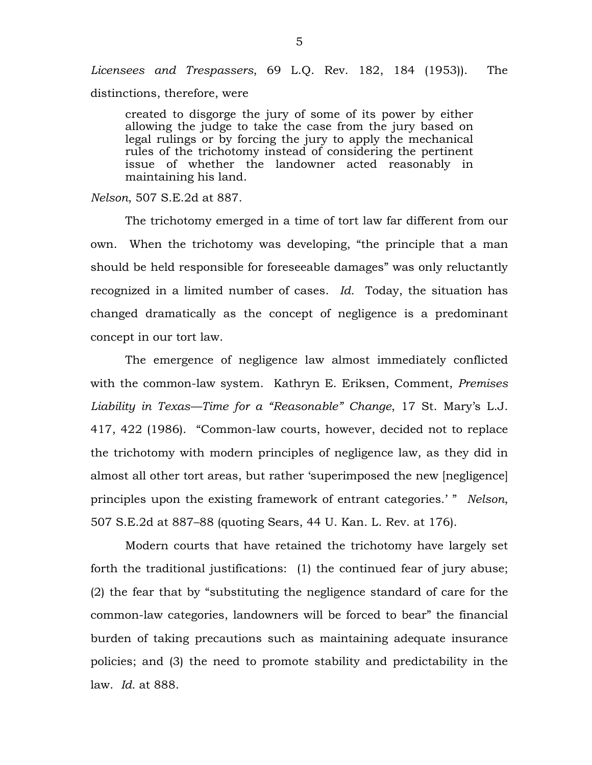*Licensees and Trespassers*, 69 L.Q. Rev. 182, 184 (1953)). The distinctions, therefore, were

created to disgorge the jury of some of its power by either allowing the judge to take the case from the jury based on legal rulings or by forcing the jury to apply the mechanical rules of the trichotomy instead of considering the pertinent issue of whether the landowner acted reasonably in maintaining his land.

*Nelson*, 507 S.E.2d at 887.

The trichotomy emerged in a time of tort law far different from our own. When the trichotomy was developing, "the principle that a man should be held responsible for foreseeable damages" was only reluctantly recognized in a limited number of cases. *Id.* Today, the situation has changed dramatically as the concept of negligence is a predominant concept in our tort law.

The emergence of negligence law almost immediately conflicted with the common-law system. Kathryn E. Eriksen, Comment, *Premises Liability in Texas—Time for a "Reasonable" Change*, 17 St. Mary's L.J. 417, 422 (1986). "Common-law courts, however, decided not to replace the trichotomy with modern principles of negligence law, as they did in almost all other tort areas, but rather 'superimposed the new [negligence] principles upon the existing framework of entrant categories.' " *Nelson*, 507 S.E.2d at 887–88 (quoting Sears, 44 U. Kan. L. Rev. at 176).

Modern courts that have retained the trichotomy have largely set forth the traditional justifications: (1) the continued fear of jury abuse; (2) the fear that by "substituting the negligence standard of care for the common-law categories, landowners will be forced to bear" the financial burden of taking precautions such as maintaining adequate insurance policies; and (3) the need to promote stability and predictability in the law. *Id.* at 888.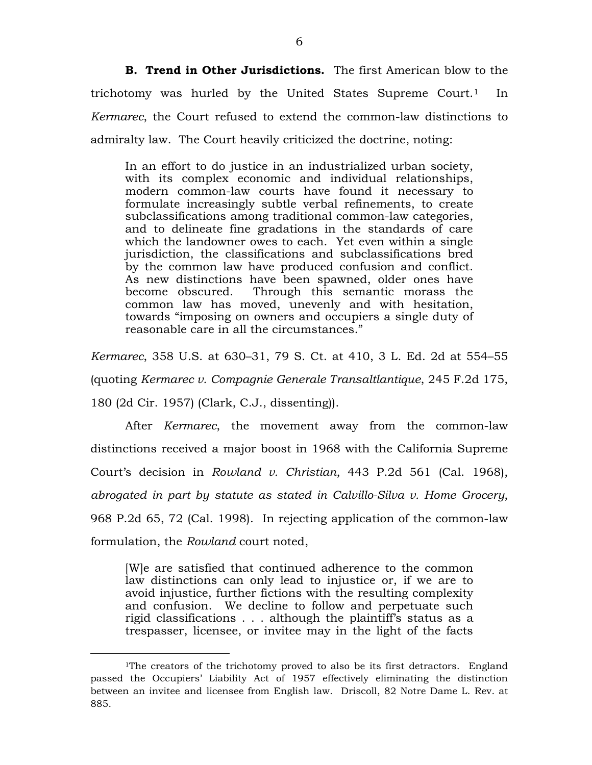**B. Trend in Other Jurisdictions.** The first American blow to the trichotomy was hurled by the United States Supreme Court.[1](#page-5-0) In *Kermarec*, the Court refused to extend the common-law distinctions to admiralty law. The Court heavily criticized the doctrine, noting:

In an effort to do justice in an industrialized urban society, with its complex economic and individual relationships, modern common-law courts have found it necessary to formulate increasingly subtle verbal refinements, to create subclassifications among traditional common-law categories, and to delineate fine gradations in the standards of care which the landowner owes to each. Yet even within a single jurisdiction, the classifications and subclassifications bred by the common law have produced confusion and conflict. As new distinctions have been spawned, older ones have become obscured. Through this semantic morass the common law has moved, unevenly and with hesitation, towards "imposing on owners and occupiers a single duty of reasonable care in all the circumstances."

*Kermarec*, 358 U.S. at 630–31, 79 S. Ct. at 410, 3 L. Ed. 2d at 554–55 (quoting *Kermarec v. Compagnie Generale Transaltlantique*, 245 F.2d 175, 180 (2d Cir. 1957) (Clark, C.J., dissenting)).

After *Kermarec*, the movement away from the common-law distinctions received a major boost in 1968 with the California Supreme Court's decision in *Rowland v. Christian*, 443 P.2d 561 (Cal. 1968), *abrogated in part by statute as stated in Calvillo-Silva v. Home Grocery*, 968 P.2d 65, 72 (Cal. 1998). In rejecting application of the common-law formulation, the *Rowland* court noted,

[W]e are satisfied that continued adherence to the common law distinctions can only lead to injustice or, if we are to avoid injustice, further fictions with the resulting complexity and confusion. We decline to follow and perpetuate such rigid classifications . . . although the plaintiff's status as a trespasser, licensee, or invitee may in the light of the facts

<span id="page-5-0"></span><sup>&</sup>lt;sup>1</sup>The creators of the trichotomy proved to also be its first detractors. England passed the Occupiers' Liability Act of 1957 effectively eliminating the distinction between an invitee and licensee from English law. Driscoll, 82 Notre Dame L. Rev. at 885.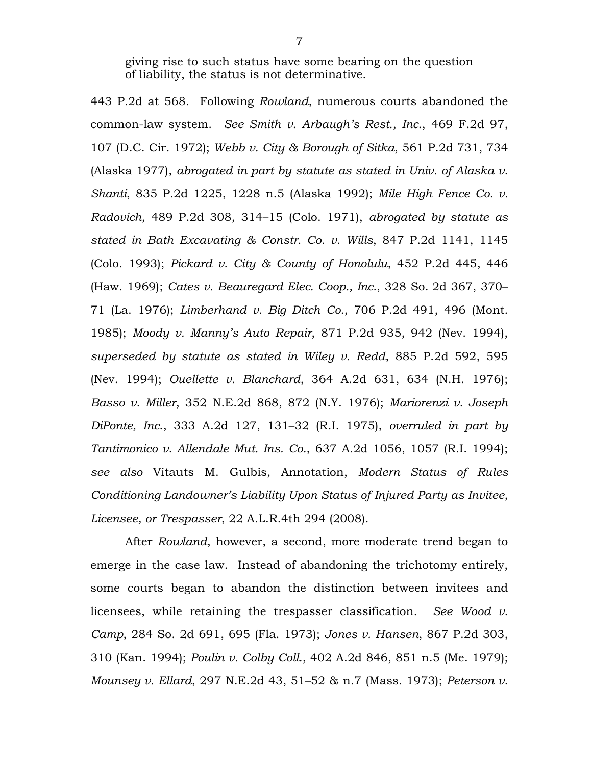giving rise to such status have some bearing on the question of liability, the status is not determinative.

443 P.2d at 568. Following *Rowland*, numerous courts abandoned the common-law system. *See Smith v. Arbaugh's Rest., Inc.*, 469 F.2d 97, 107 (D.C. Cir. 1972); *Webb v. City & Borough of Sitka*, 561 P.2d 731, 734 (Alaska 1977), *abrogated in part by statute as stated in Univ. of Alaska v. Shanti*, 835 P.2d 1225, 1228 n.5 (Alaska 1992); *Mile High Fence Co. v. Radovich*, 489 P.2d 308, 314–15 (Colo. 1971), *abrogated by statute as stated in Bath Excavating & Constr. Co. v. Wills*, 847 P.2d 1141, 1145 (Colo. 1993); *Pickard v. City & County of Honolulu*, 452 P.2d 445, 446 (Haw. 1969); *Cates v. Beauregard Elec. Coop., Inc.*, 328 So. 2d 367, 370– 71 (La. 1976); *Limberhand v. Big Ditch Co.*, 706 P.2d 491, 496 (Mont. 1985); *Moody v. Manny's Auto Repair*, 871 P.2d 935, 942 (Nev. 1994), *superseded by statute as stated in Wiley v. Redd*, 885 P.2d 592, 595 (Nev. 1994); *Ouellette v. Blanchard*, 364 A.2d 631, 634 (N.H. 1976); *Basso v. Miller*, 352 N.E.2d 868, 872 (N.Y. 1976); *Mariorenzi v. Joseph DiPonte, Inc*., 333 A.2d 127, 131–32 (R.I. 1975), *overruled in part by Tantimonico v. Allendale Mut. Ins. Co.*, 637 A.2d 1056, 1057 (R.I. 1994); *see also* Vitauts M. Gulbis, Annotation, *Modern Status of Rules Conditioning Landowner's Liability Upon Status of Injured Party as Invitee, Licensee, or Trespasser*, 22 A.L.R.4th 294 (2008).

After *Rowland*, however, a second, more moderate trend began to emerge in the case law. Instead of abandoning the trichotomy entirely, some courts began to abandon the distinction between invitees and licensees, while retaining the trespasser classification. *See Wood v. Camp*, 284 So. 2d 691, 695 (Fla. 1973); *Jones v. Hansen*, 867 P.2d 303, 310 (Kan. 1994); *Poulin v. Colby Coll.*, 402 A.2d 846, 851 n.5 (Me. 1979); *Mounsey v. Ellard*, 297 N.E.2d 43, 51–52 & n.7 (Mass. 1973); *Peterson v.*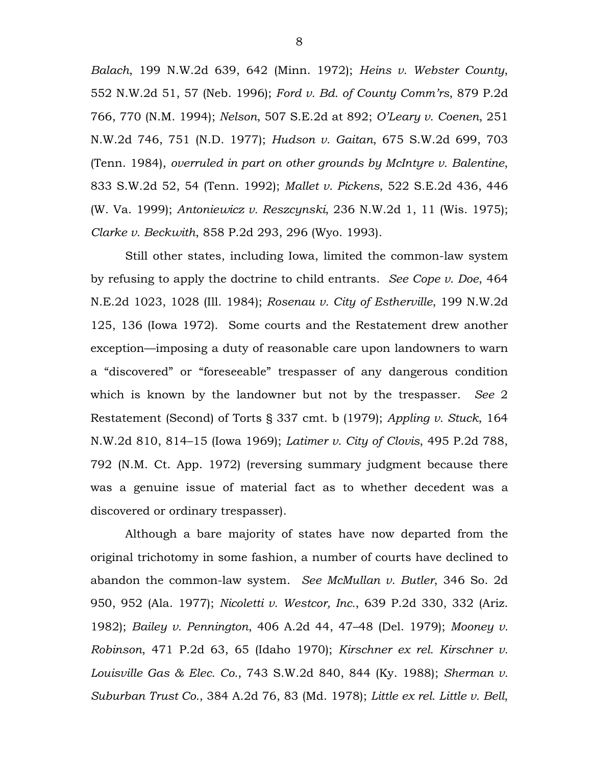*Balach*, 199 N.W.2d 639, 642 (Minn. 1972); *Heins v. Webster County*, 552 N.W.2d 51, 57 (Neb. 1996); *Ford v. Bd. of County Comm'rs*, 879 P.2d 766, 770 (N.M. 1994); *Nelson*, 507 S.E.2d at 892; *O'Leary v. Coenen*, 251 N.W.2d 746, 751 (N.D. 1977); *Hudson v. Gaitan*, 675 S.W.2d 699, 703 (Tenn. 1984), *overruled in part on other grounds by McIntyre v. Balentine*, 833 S.W.2d 52, 54 (Tenn. 1992); *Mallet v. Pickens*, 522 S.E.2d 436, 446 (W. Va. 1999); *Antoniewicz v. Reszcynski*, 236 N.W.2d 1, 11 (Wis. 1975); *Clarke v. Beckwith*, 858 P.2d 293, 296 (Wyo. 1993).

Still other states, including Iowa, limited the common-law system by refusing to apply the doctrine to child entrants. *See Cope v. Doe*, 464 N.E.2d 1023, 1028 (Ill. 1984); *Rosenau v. City of Estherville*, 199 N.W.2d 125, 136 (Iowa 1972). Some courts and the Restatement drew another exception—imposing a duty of reasonable care upon landowners to warn a "discovered" or "foreseeable" trespasser of any dangerous condition which is known by the landowner but not by the trespasser. *See* 2 Restatement (Second) of Torts § 337 cmt. b (1979); *Appling v. Stuck*, 164 N.W.2d 810, 814–15 (Iowa 1969); *Latimer v. City of Clovis*, 495 P.2d 788, 792 (N.M. Ct. App. 1972) (reversing summary judgment because there was a genuine issue of material fact as to whether decedent was a discovered or ordinary trespasser).

Although a bare majority of states have now departed from the original trichotomy in some fashion, a number of courts have declined to abandon the common-law system. *See McMullan v. Butler*, 346 So. 2d 950, 952 (Ala. 1977); *Nicoletti v. Westcor, Inc.*, 639 P.2d 330, 332 (Ariz. 1982); *Bailey v. Pennington*, 406 A.2d 44, 47–48 (Del. 1979); *Mooney v. Robinson*, 471 P.2d 63, 65 (Idaho 1970); *Kirschner ex rel. Kirschner v. Louisville Gas & Elec. Co.*, 743 S.W.2d 840, 844 (Ky. 1988); *Sherman v. Suburban Trust Co.*, 384 A.2d 76, 83 (Md. 1978); *Little ex rel. Little v. Bell*,

8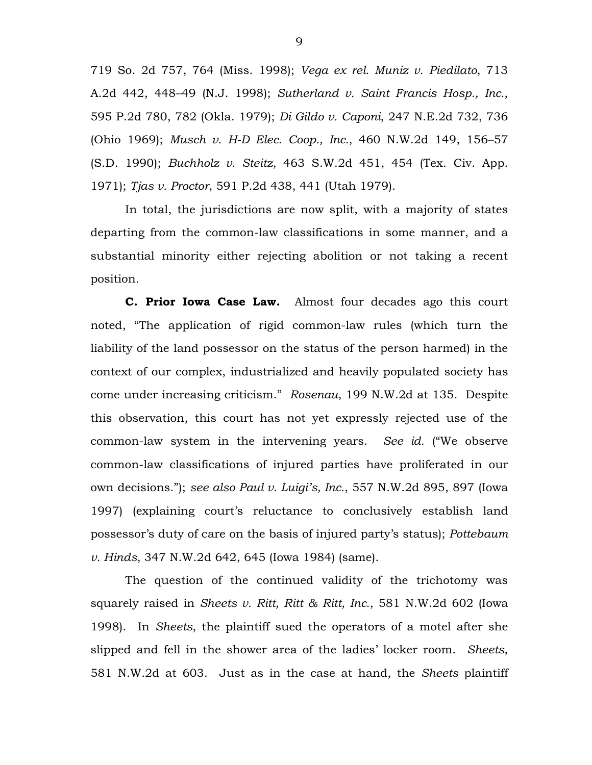719 So. 2d 757, 764 (Miss. 1998); *Vega ex rel. Muniz v. Piedilato*, 713 A.2d 442, 448–49 (N.J. 1998); *Sutherland v. Saint Francis Hosp., Inc.*, 595 P.2d 780, 782 (Okla. 1979); *Di Gildo v. Caponi*, 247 N.E.2d 732, 736 (Ohio 1969); *Musch v. H-D Elec. Coop., Inc.*, 460 N.W.2d 149, 156–57 (S.D. 1990); *Buchholz v. Steitz*, 463 S.W.2d 451, 454 (Tex. Civ. App. 1971); *Tjas v. Proctor*, 591 P.2d 438, 441 (Utah 1979).

In total, the jurisdictions are now split, with a majority of states departing from the common-law classifications in some manner, and a substantial minority either rejecting abolition or not taking a recent position.

**C. Prior Iowa Case Law.** Almost four decades ago this court noted, "The application of rigid common-law rules (which turn the liability of the land possessor on the status of the person harmed) in the context of our complex, industrialized and heavily populated society has come under increasing criticism." *Rosenau*, 199 N.W.2d at 135. Despite this observation, this court has not yet expressly rejected use of the common-law system in the intervening years. *See id.* ("We observe common-law classifications of injured parties have proliferated in our own decisions."); *see also Paul v. Luigi's, Inc.*, 557 N.W.2d 895, 897 (Iowa 1997) (explaining court's reluctance to conclusively establish land possessor's duty of care on the basis of injured party's status); *Pottebaum v. Hinds*, 347 N.W.2d 642, 645 (Iowa 1984) (same).

The question of the continued validity of the trichotomy was squarely raised in *Sheets v. Ritt, Ritt & Ritt, Inc.*, 581 N.W.2d 602 (Iowa 1998). In *Sheets*, the plaintiff sued the operators of a motel after she slipped and fell in the shower area of the ladies' locker room. *Sheets*, 581 N.W.2d at 603. Just as in the case at hand, the *Sheets* plaintiff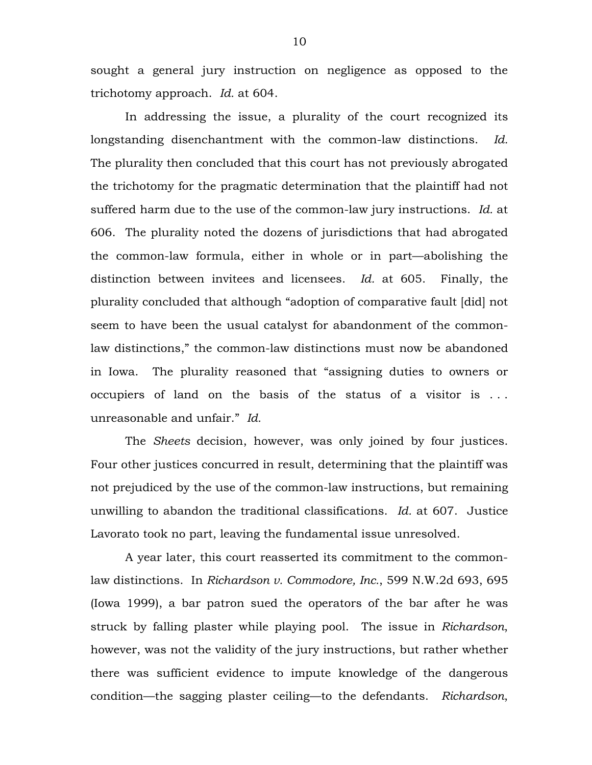sought a general jury instruction on negligence as opposed to the trichotomy approach. *Id.* at 604.

In addressing the issue, a plurality of the court recognized its longstanding disenchantment with the common-law distinctions. *Id.* The plurality then concluded that this court has not previously abrogated the trichotomy for the pragmatic determination that the plaintiff had not suffered harm due to the use of the common-law jury instructions. *Id.* at 606. The plurality noted the dozens of jurisdictions that had abrogated the common-law formula, either in whole or in part—abolishing the distinction between invitees and licensees. *Id.* at 605. Finally, the plurality concluded that although "adoption of comparative fault [did] not seem to have been the usual catalyst for abandonment of the commonlaw distinctions," the common-law distinctions must now be abandoned in Iowa. The plurality reasoned that "assigning duties to owners or occupiers of land on the basis of the status of a visitor is . . . unreasonable and unfair." *Id.*

The *Sheets* decision, however, was only joined by four justices. Four other justices concurred in result, determining that the plaintiff was not prejudiced by the use of the common-law instructions, but remaining unwilling to abandon the traditional classifications. *Id.* at 607. Justice Lavorato took no part, leaving the fundamental issue unresolved.

A year later, this court reasserted its commitment to the commonlaw distinctions. In *Richardson v. Commodore, Inc.*, 599 N.W.2d 693, 695 (Iowa 1999), a bar patron sued the operators of the bar after he was struck by falling plaster while playing pool. The issue in *Richardson*, however, was not the validity of the jury instructions, but rather whether there was sufficient evidence to impute knowledge of the dangerous condition—the sagging plaster ceiling—to the defendants. *Richardson*,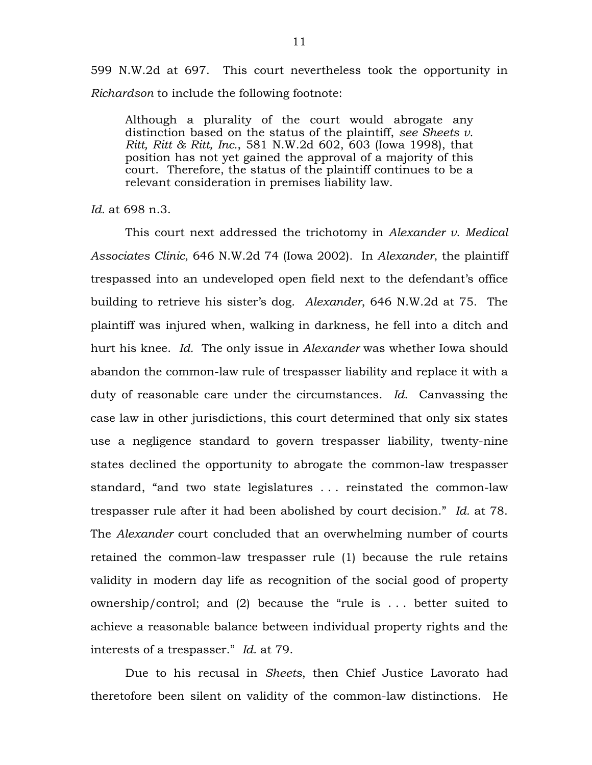599 N.W.2d at 697. This court nevertheless took the opportunity in *Richardson* to include the following footnote:

Although a plurality of the court would abrogate any distinction based on the status of the plaintiff, *see Sheets v. Ritt, Ritt & Ritt, Inc.*, 581 N.W.2d 602, 603 (Iowa 1998), that position has not yet gained the approval of a majority of this court. Therefore, the status of the plaintiff continues to be a relevant consideration in premises liability law.

*Id.* at 698 n.3.

This court next addressed the trichotomy in *Alexander v. Medical Associates Clinic*, 646 N.W.2d 74 (Iowa 2002). In *Alexander*, the plaintiff trespassed into an undeveloped open field next to the defendant's office building to retrieve his sister's dog. *Alexander*, 646 N.W.2d at 75. The plaintiff was injured when, walking in darkness, he fell into a ditch and hurt his knee. *Id.* The only issue in *Alexander* was whether Iowa should abandon the common-law rule of trespasser liability and replace it with a duty of reasonable care under the circumstances. *Id*. Canvassing the case law in other jurisdictions, this court determined that only six states use a negligence standard to govern trespasser liability, twenty-nine states declined the opportunity to abrogate the common-law trespasser standard, "and two state legislatures . . . reinstated the common-law trespasser rule after it had been abolished by court decision." *Id.* at 78. The *Alexander* court concluded that an overwhelming number of courts retained the common-law trespasser rule (1) because the rule retains validity in modern day life as recognition of the social good of property ownership/control; and (2) because the "rule is . . . better suited to achieve a reasonable balance between individual property rights and the interests of a trespasser." *Id.* at 79.

Due to his recusal in *Sheets*, then Chief Justice Lavorato had theretofore been silent on validity of the common-law distinctions. He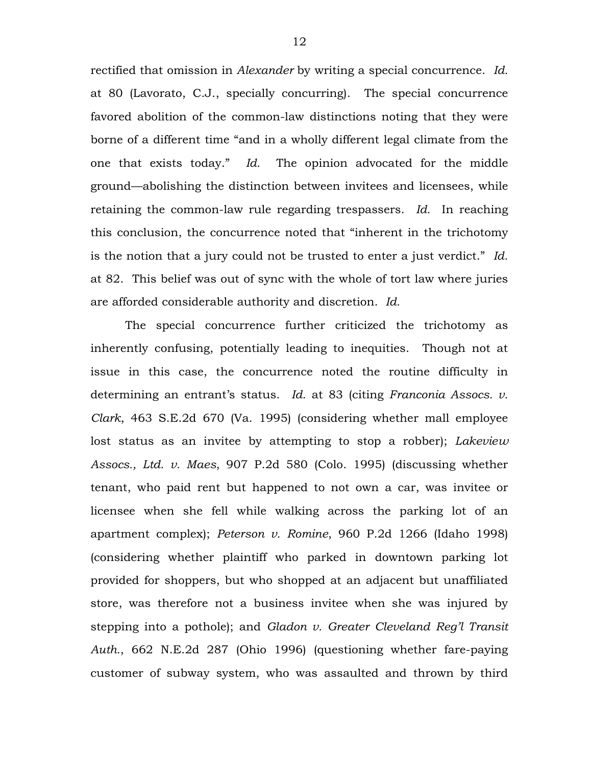rectified that omission in *Alexander* by writing a special concurrence. *Id.* at 80 (Lavorato, C.J., specially concurring). The special concurrence favored abolition of the common-law distinctions noting that they were borne of a different time "and in a wholly different legal climate from the one that exists today." *Id.* The opinion advocated for the middle ground—abolishing the distinction between invitees and licensees, while retaining the common-law rule regarding trespassers. *Id.* In reaching this conclusion, the concurrence noted that "inherent in the trichotomy is the notion that a jury could not be trusted to enter a just verdict." *Id.* at 82. This belief was out of sync with the whole of tort law where juries are afforded considerable authority and discretion. *Id.*

The special concurrence further criticized the trichotomy as inherently confusing, potentially leading to inequities. Though not at issue in this case, the concurrence noted the routine difficulty in determining an entrant's status. *Id.* at 83 (citing *Franconia Assocs. v. Clark*, 463 S.E.2d 670 (Va. 1995) (considering whether mall employee lost status as an invitee by attempting to stop a robber); *Lakeview Assocs., Ltd. v. Maes*, 907 P.2d 580 (Colo. 1995) (discussing whether tenant, who paid rent but happened to not own a car, was invitee or licensee when she fell while walking across the parking lot of an apartment complex); *Peterson v. Romine*, 960 P.2d 1266 (Idaho 1998) (considering whether plaintiff who parked in downtown parking lot provided for shoppers, but who shopped at an adjacent but unaffiliated store, was therefore not a business invitee when she was injured by stepping into a pothole); and *Gladon v. Greater Cleveland Reg'l Transit Auth.*, 662 N.E.2d 287 (Ohio 1996) (questioning whether fare-paying customer of subway system, who was assaulted and thrown by third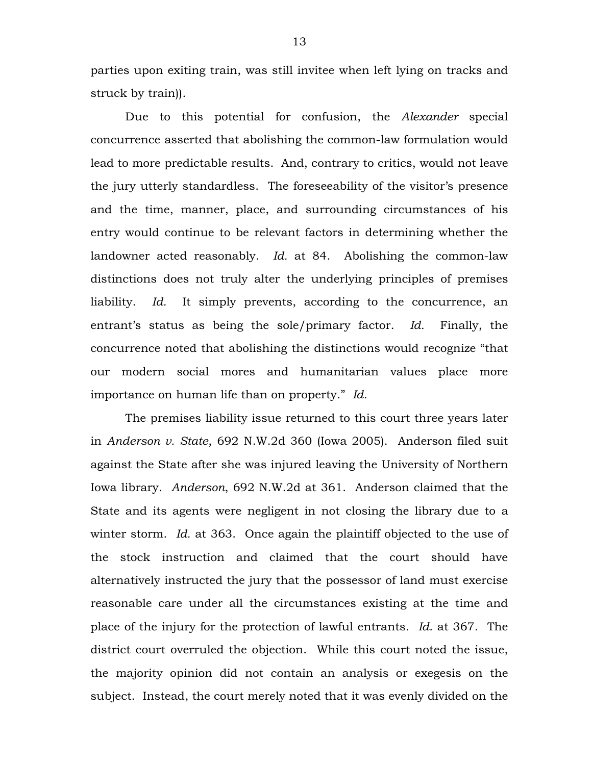parties upon exiting train, was still invitee when left lying on tracks and struck by train)).

Due to this potential for confusion, the *Alexander* special concurrence asserted that abolishing the common-law formulation would lead to more predictable results. And, contrary to critics, would not leave the jury utterly standardless. The foreseeability of the visitor's presence and the time, manner, place, and surrounding circumstances of his entry would continue to be relevant factors in determining whether the landowner acted reasonably. *Id.* at 84. Abolishing the common-law distinctions does not truly alter the underlying principles of premises liability. *Id.* It simply prevents, according to the concurrence, an entrant's status as being the sole/primary factor. *Id.* Finally, the concurrence noted that abolishing the distinctions would recognize "that our modern social mores and humanitarian values place more importance on human life than on property." *Id.*

The premises liability issue returned to this court three years later in *Anderson v. State*, 692 N.W.2d 360 (Iowa 2005). Anderson filed suit against the State after she was injured leaving the University of Northern Iowa library. *Anderson*, 692 N.W.2d at 361. Anderson claimed that the State and its agents were negligent in not closing the library due to a winter storm. *Id.* at 363. Once again the plaintiff objected to the use of the stock instruction and claimed that the court should have alternatively instructed the jury that the possessor of land must exercise reasonable care under all the circumstances existing at the time and place of the injury for the protection of lawful entrants. *Id.* at 367. The district court overruled the objection. While this court noted the issue, the majority opinion did not contain an analysis or exegesis on the subject. Instead, the court merely noted that it was evenly divided on the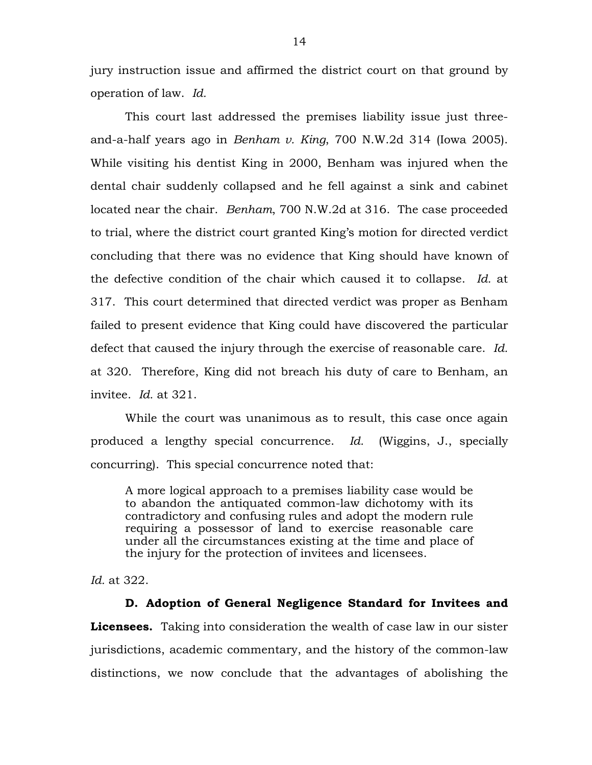jury instruction issue and affirmed the district court on that ground by operation of law. *Id.*

This court last addressed the premises liability issue just threeand-a-half years ago in *Benham v. King*, 700 N.W.2d 314 (Iowa 2005). While visiting his dentist King in 2000, Benham was injured when the dental chair suddenly collapsed and he fell against a sink and cabinet located near the chair. *Benham*, 700 N.W.2d at 316. The case proceeded to trial, where the district court granted King's motion for directed verdict concluding that there was no evidence that King should have known of the defective condition of the chair which caused it to collapse. *Id.* at 317. This court determined that directed verdict was proper as Benham failed to present evidence that King could have discovered the particular defect that caused the injury through the exercise of reasonable care. *Id.* at 320. Therefore, King did not breach his duty of care to Benham, an invitee. *Id.* at 321.

While the court was unanimous as to result, this case once again produced a lengthy special concurrence. *Id.* (Wiggins, J., specially concurring). This special concurrence noted that:

A more logical approach to a premises liability case would be to abandon the antiquated common-law dichotomy with its contradictory and confusing rules and adopt the modern rule requiring a possessor of land to exercise reasonable care under all the circumstances existing at the time and place of the injury for the protection of invitees and licensees.

*Id.* at 322.

### **D. Adoption of General Negligence Standard for Invitees and**

**Licensees.** Taking into consideration the wealth of case law in our sister jurisdictions, academic commentary, and the history of the common-law distinctions, we now conclude that the advantages of abolishing the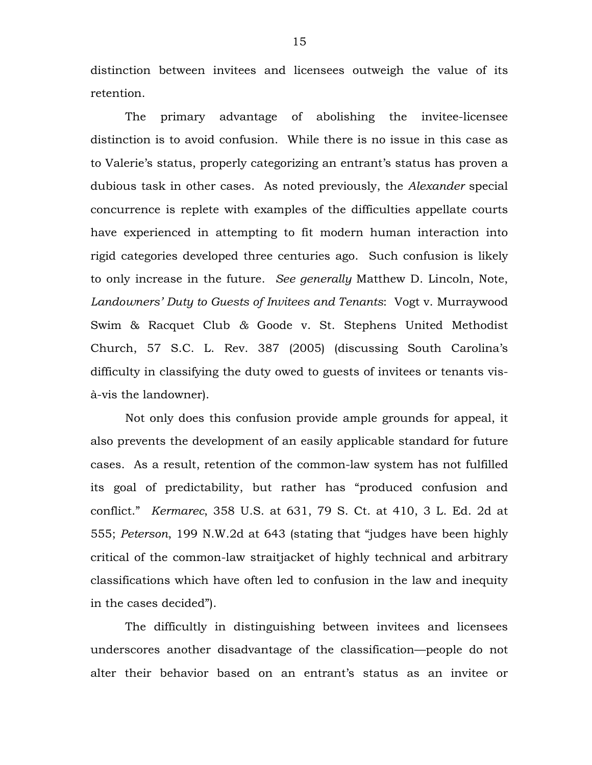distinction between invitees and licensees outweigh the value of its retention.

The primary advantage of abolishing the invitee-licensee distinction is to avoid confusion. While there is no issue in this case as to Valerie's status, properly categorizing an entrant's status has proven a dubious task in other cases. As noted previously, the *Alexander* special concurrence is replete with examples of the difficulties appellate courts have experienced in attempting to fit modern human interaction into rigid categories developed three centuries ago. Such confusion is likely to only increase in the future. *See generally* Matthew D. Lincoln, Note, *Landowners' Duty to Guests of Invitees and Tenants*: Vogt v. Murraywood Swim & Racquet Club *&* Goode v. St. Stephens United Methodist Church, 57 S.C. L. Rev. 387 (2005) (discussing South Carolina's difficulty in classifying the duty owed to guests of invitees or tenants visà-vis the landowner).

Not only does this confusion provide ample grounds for appeal, it also prevents the development of an easily applicable standard for future cases. As a result, retention of the common-law system has not fulfilled its goal of predictability, but rather has "produced confusion and conflict." *Kermarec*, 358 U.S. at 631, 79 S. Ct. at 410, 3 L. Ed. 2d at 555; *Peterson*, 199 N.W.2d at 643 (stating that "judges have been highly critical of the common-law straitjacket of highly technical and arbitrary classifications which have often led to confusion in the law and inequity in the cases decided").

The difficultly in distinguishing between invitees and licensees underscores another disadvantage of the classification—people do not alter their behavior based on an entrant's status as an invitee or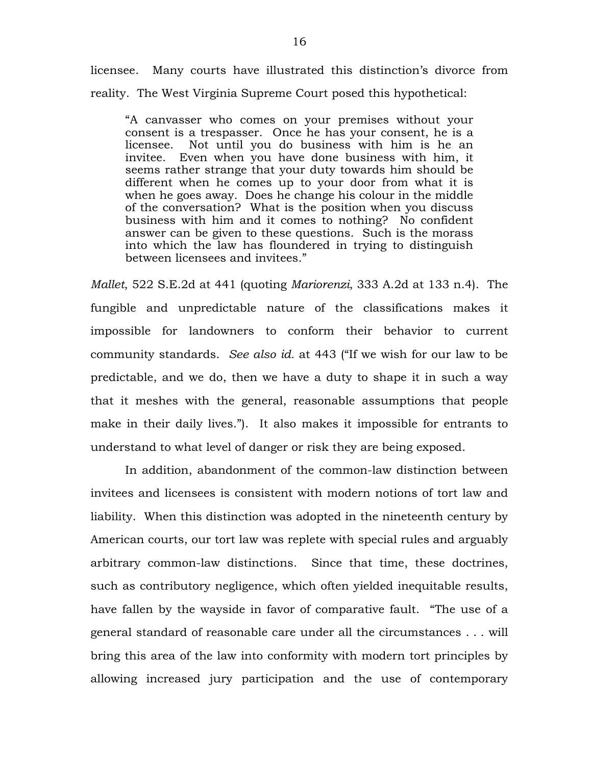licensee. Many courts have illustrated this distinction's divorce from reality. The West Virginia Supreme Court posed this hypothetical:

"A canvasser who comes on your premises without your consent is a trespasser. Once he has your consent, he is a licensee. Not until you do business with him is he an invitee. Even when you have done business with him, it seems rather strange that your duty towards him should be different when he comes up to your door from what it is when he goes away. Does he change his colour in the middle of the conversation? What is the position when you discuss business with him and it comes to nothing? No confident answer can be given to these questions. Such is the morass into which the law has floundered in trying to distinguish between licensees and invitees."

*Mallet*, 522 S.E.2d at 441 (quoting *Mariorenzi*, 333 A.2d at 133 n.4). The fungible and unpredictable nature of the classifications makes it impossible for landowners to conform their behavior to current community standards. *See also id.* at 443 ("If we wish for our law to be predictable, and we do, then we have a duty to shape it in such a way that it meshes with the general, reasonable assumptions that people make in their daily lives."). It also makes it impossible for entrants to understand to what level of danger or risk they are being exposed.

In addition, abandonment of the common-law distinction between invitees and licensees is consistent with modern notions of tort law and liability. When this distinction was adopted in the nineteenth century by American courts, our tort law was replete with special rules and arguably arbitrary common-law distinctions. Since that time, these doctrines, such as contributory negligence, which often yielded inequitable results, have fallen by the wayside in favor of comparative fault. "The use of a general standard of reasonable care under all the circumstances . . . will bring this area of the law into conformity with modern tort principles by allowing increased jury participation and the use of contemporary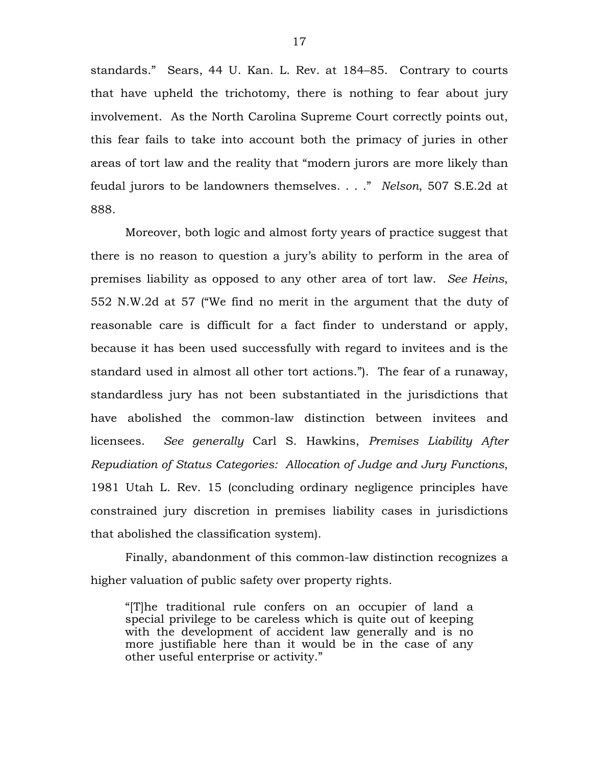standards." Sears, 44 U. Kan. L. Rev. at 184–85. Contrary to courts that have upheld the trichotomy, there is nothing to fear about jury involvement. As the North Carolina Supreme Court correctly points out, this fear fails to take into account both the primacy of juries in other areas of tort law and the reality that "modern jurors are more likely than feudal jurors to be landowners themselves. . . ." *Nelson*, 507 S.E.2d at 888.

Moreover, both logic and almost forty years of practice suggest that there is no reason to question a jury's ability to perform in the area of premises liability as opposed to any other area of tort law. *See Heins*, 552 N.W.2d at 57 ("We find no merit in the argument that the duty of reasonable care is difficult for a fact finder to understand or apply, because it has been used successfully with regard to invitees and is the standard used in almost all other tort actions."). The fear of a runaway, standardless jury has not been substantiated in the jurisdictions that have abolished the common-law distinction between invitees and licensees. *See generally* Carl S. Hawkins, *Premises Liability After Repudiation of Status Categories: Allocation of Judge and Jury Functions*, 1981 Utah L. Rev. 15 (concluding ordinary negligence principles have constrained jury discretion in premises liability cases in jurisdictions that abolished the classification system).

Finally, abandonment of this common-law distinction recognizes a higher valuation of public safety over property rights.

"[T]he traditional rule confers on an occupier of land a special privilege to be careless which is quite out of keeping with the development of accident law generally and is no more justifiable here than it would be in the case of any other useful enterprise or activity."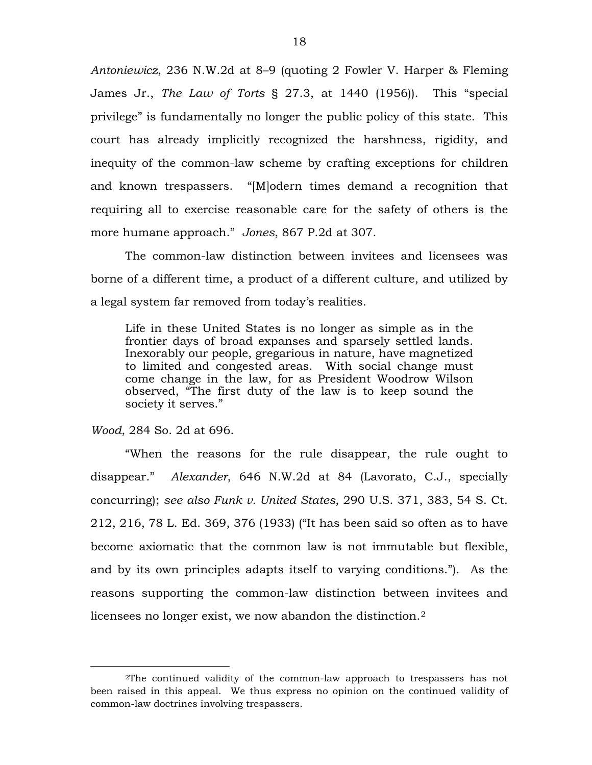*Antoniewicz*, 236 N.W.2d at 8–9 (quoting 2 Fowler V. Harper & Fleming James Jr., *The Law of Torts* § 27.3, at 1440 (1956)). This "special privilege" is fundamentally no longer the public policy of this state. This court has already implicitly recognized the harshness, rigidity, and inequity of the common-law scheme by crafting exceptions for children and known trespassers. "[M]odern times demand a recognition that requiring all to exercise reasonable care for the safety of others is the more humane approach." *Jones*, 867 P.2d at 307.

The common-law distinction between invitees and licensees was borne of a different time, a product of a different culture, and utilized by a legal system far removed from today's realities.

Life in these United States is no longer as simple as in the frontier days of broad expanses and sparsely settled lands. Inexorably our people, gregarious in nature, have magnetized to limited and congested areas. With social change must come change in the law, for as President Woodrow Wilson observed, "The first duty of the law is to keep sound the society it serves."

*Wood*, 284 So. 2d at 696.

"When the reasons for the rule disappear, the rule ought to disappear." *Alexander*, 646 N.W.2d at 84 (Lavorato, C.J., specially concurring); *see also Funk v. United States*, 290 U.S. 371, 383, 54 S. Ct. 212, 216, 78 L. Ed. 369, 376 (1933) ("It has been said so often as to have become axiomatic that the common law is not immutable but flexible, and by its own principles adapts itself to varying conditions."). As the reasons supporting the common-law distinction between invitees and licensees no longer exist, we now abandon the distinction.[2](#page-17-0)

<span id="page-17-0"></span> <sup>2</sup>The continued validity of the common-law approach to trespassers has not been raised in this appeal. We thus express no opinion on the continued validity of common-law doctrines involving trespassers.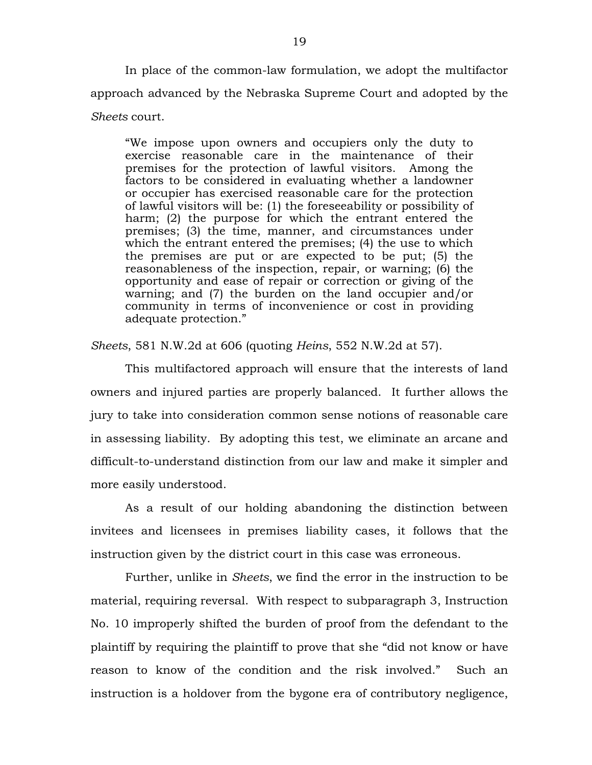In place of the common-law formulation, we adopt the multifactor approach advanced by the Nebraska Supreme Court and adopted by the *Sheets* court.

"We impose upon owners and occupiers only the duty to exercise reasonable care in the maintenance of their premises for the protection of lawful visitors. Among the factors to be considered in evaluating whether a landowner or occupier has exercised reasonable care for the protection of lawful visitors will be: (1) the foreseeability or possibility of harm; (2) the purpose for which the entrant entered the premises; (3) the time, manner, and circumstances under which the entrant entered the premises; (4) the use to which the premises are put or are expected to be put; (5) the reasonableness of the inspection, repair, or warning; (6) the opportunity and ease of repair or correction or giving of the warning; and (7) the burden on the land occupier and/or community in terms of inconvenience or cost in providing adequate protection."

*Sheets*, 581 N.W.2d at 606 (quoting *Heins*, 552 N.W.2d at 57).

This multifactored approach will ensure that the interests of land owners and injured parties are properly balanced. It further allows the jury to take into consideration common sense notions of reasonable care in assessing liability. By adopting this test, we eliminate an arcane and difficult-to-understand distinction from our law and make it simpler and more easily understood.

As a result of our holding abandoning the distinction between invitees and licensees in premises liability cases, it follows that the instruction given by the district court in this case was erroneous.

Further, unlike in *Sheets*, we find the error in the instruction to be material, requiring reversal. With respect to subparagraph 3, Instruction No. 10 improperly shifted the burden of proof from the defendant to the plaintiff by requiring the plaintiff to prove that she "did not know or have reason to know of the condition and the risk involved." Such an instruction is a holdover from the bygone era of contributory negligence,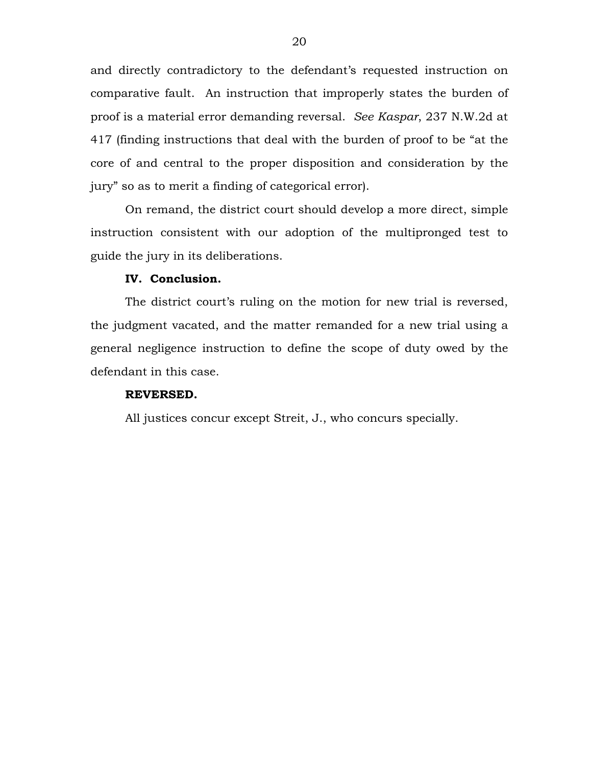and directly contradictory to the defendant's requested instruction on comparative fault. An instruction that improperly states the burden of proof is a material error demanding reversal. *See Kaspar*, 237 N.W.2d at 417 (finding instructions that deal with the burden of proof to be "at the core of and central to the proper disposition and consideration by the jury" so as to merit a finding of categorical error).

On remand, the district court should develop a more direct, simple instruction consistent with our adoption of the multipronged test to guide the jury in its deliberations.

# **IV. Conclusion.**

The district court's ruling on the motion for new trial is reversed, the judgment vacated, and the matter remanded for a new trial using a general negligence instruction to define the scope of duty owed by the defendant in this case.

### **REVERSED.**

All justices concur except Streit, J., who concurs specially.